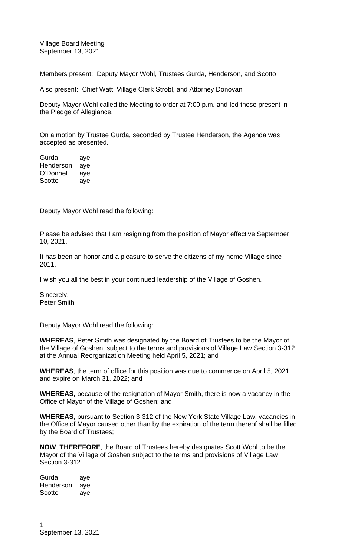Village Board Meeting September 13, 2021

Members present: Deputy Mayor Wohl, Trustees Gurda, Henderson, and Scotto

Also present: Chief Watt, Village Clerk Strobl, and Attorney Donovan

Deputy Mayor Wohl called the Meeting to order at 7:00 p.m. and led those present in the Pledge of Allegiance.

On a motion by Trustee Gurda, seconded by Trustee Henderson, the Agenda was accepted as presented.

Gurda aye Henderson aye O'Donnell aye Scotto aye

Deputy Mayor Wohl read the following:

Please be advised that I am resigning from the position of Mayor effective September 10, 2021.

It has been an honor and a pleasure to serve the citizens of my home Village since 2011.

I wish you all the best in your continued leadership of the Village of Goshen.

Sincerely, Peter Smith

Deputy Mayor Wohl read the following:

**WHEREAS**, Peter Smith was designated by the Board of Trustees to be the Mayor of the Village of Goshen, subject to the terms and provisions of Village Law Section 3-312, at the Annual Reorganization Meeting held April 5, 2021; and

**WHEREAS**, the term of office for this position was due to commence on April 5, 2021 and expire on March 31, 2022; and

**WHEREAS,** because of the resignation of Mayor Smith, there is now a vacancy in the Office of Mayor of the Village of Goshen; and

**WHEREAS**, pursuant to Section 3-312 of the New York State Village Law, vacancies in the Office of Mayor caused other than by the expiration of the term thereof shall be filled by the Board of Trustees;

**NOW**, **THEREFORE**, the Board of Trustees hereby designates Scott Wohl to be the Mayor of the Village of Goshen subject to the terms and provisions of Village Law Section 3-312.

Gurda aye Henderson aye Scotto aye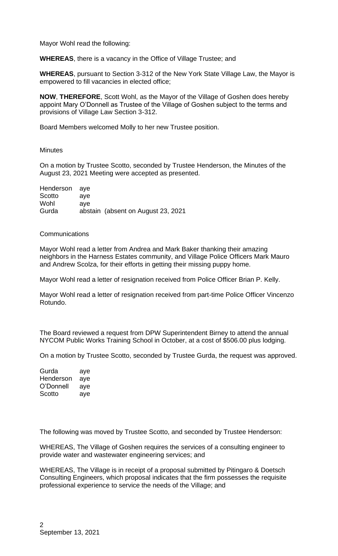Mayor Wohl read the following:

**WHEREAS**, there is a vacancy in the Office of Village Trustee; and

**WHEREAS**, pursuant to Section 3-312 of the New York State Village Law, the Mayor is empowered to fill vacancies in elected office;

**NOW**, **THEREFORE**, Scott Wohl, as the Mayor of the Village of Goshen does hereby appoint Mary O'Donnell as Trustee of the Village of Goshen subject to the terms and provisions of Village Law Section 3-312.

Board Members welcomed Molly to her new Trustee position.

## **Minutes**

On a motion by Trustee Scotto, seconded by Trustee Henderson, the Minutes of the August 23, 2021 Meeting were accepted as presented.

| Henderson aye |     |                                     |
|---------------|-----|-------------------------------------|
| Scotto        | ave |                                     |
| Wohl          | ave |                                     |
| Gurda         |     | abstain (absent on August 23, 2021) |

## **Communications**

Mayor Wohl read a letter from Andrea and Mark Baker thanking their amazing neighbors in the Harness Estates community, and Village Police Officers Mark Mauro and Andrew Scolza, for their efforts in getting their missing puppy home.

Mayor Wohl read a letter of resignation received from Police Officer Brian P. Kelly.

Mayor Wohl read a letter of resignation received from part-time Police Officer Vincenzo Rotundo.

The Board reviewed a request from DPW Superintendent Birney to attend the annual NYCOM Public Works Training School in October, at a cost of \$506.00 plus lodging.

On a motion by Trustee Scotto, seconded by Trustee Gurda, the request was approved.

| Gurda     | aye |
|-----------|-----|
| Henderson | aye |
| O'Donnell | aye |
| Scotto    | aye |

The following was moved by Trustee Scotto, and seconded by Trustee Henderson:

WHEREAS, The Village of Goshen requires the services of a consulting engineer to provide water and wastewater engineering services; and

WHEREAS, The Village is in receipt of a proposal submitted by Pitingaro & Doetsch Consulting Engineers, which proposal indicates that the firm possesses the requisite professional experience to service the needs of the Village; and